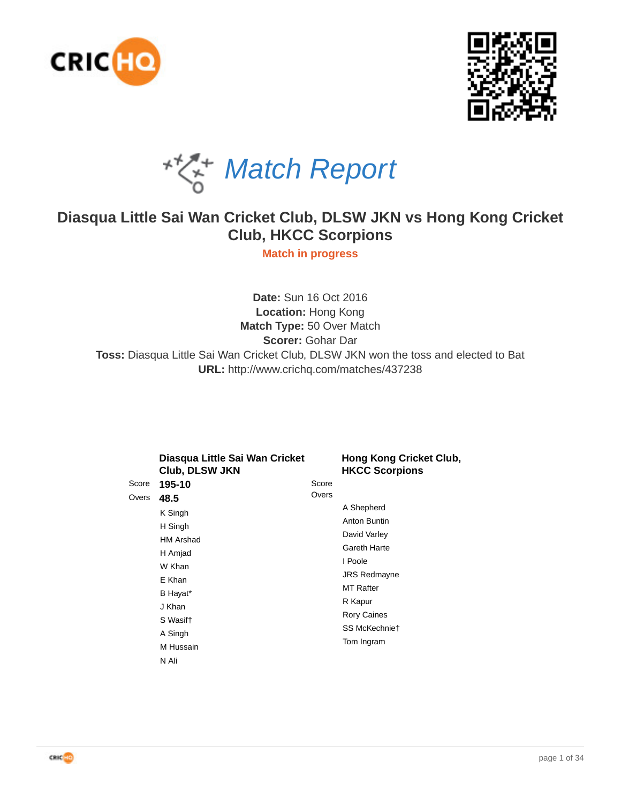





# **Diasqua Little Sai Wan Cricket Club, DLSW JKN vs Hong Kong Cricket Club, HKCC Scorpions**

**Match in progress**

**Date:** Sun 16 Oct 2016 **Location:** Hong Kong **Match Type:** 50 Over Match **Scorer:** Gohar Dar **Toss:** Diasqua Little Sai Wan Cricket Club, DLSW JKN won the toss and elected to Bat **URL:** http://www.crichq.com/matches/437238

|       | Diasqua Little Sai Wan Cricket<br>Club, DLSW JKN |       | Hong Kong Cricket Club,<br><b>HKCC Scorpions</b> |  |  |  |  |
|-------|--------------------------------------------------|-------|--------------------------------------------------|--|--|--|--|
| Score | 195-10                                           | Score |                                                  |  |  |  |  |
| Overs | 48.5                                             | Overs |                                                  |  |  |  |  |
|       | K Singh<br>H Singh                               |       | A Shepherd                                       |  |  |  |  |
|       |                                                  |       | Anton Buntin                                     |  |  |  |  |
|       | HM Arshad                                        |       | David Varley                                     |  |  |  |  |
|       | H Amjad                                          |       | Gareth Harte                                     |  |  |  |  |
|       | W Khan                                           |       | I Poole                                          |  |  |  |  |
|       | E Khan                                           |       | <b>JRS Redmayne</b>                              |  |  |  |  |
|       |                                                  |       | <b>MT Rafter</b>                                 |  |  |  |  |
|       | B Hayat*                                         |       | R Kapur                                          |  |  |  |  |
|       | J Khan                                           |       | <b>Rory Caines</b>                               |  |  |  |  |
|       | S Wasift                                         |       | SS McKechnie†                                    |  |  |  |  |
|       | A Singh                                          |       | Tom Ingram                                       |  |  |  |  |
|       | M Hussain                                        |       |                                                  |  |  |  |  |
|       | N Ali                                            |       |                                                  |  |  |  |  |

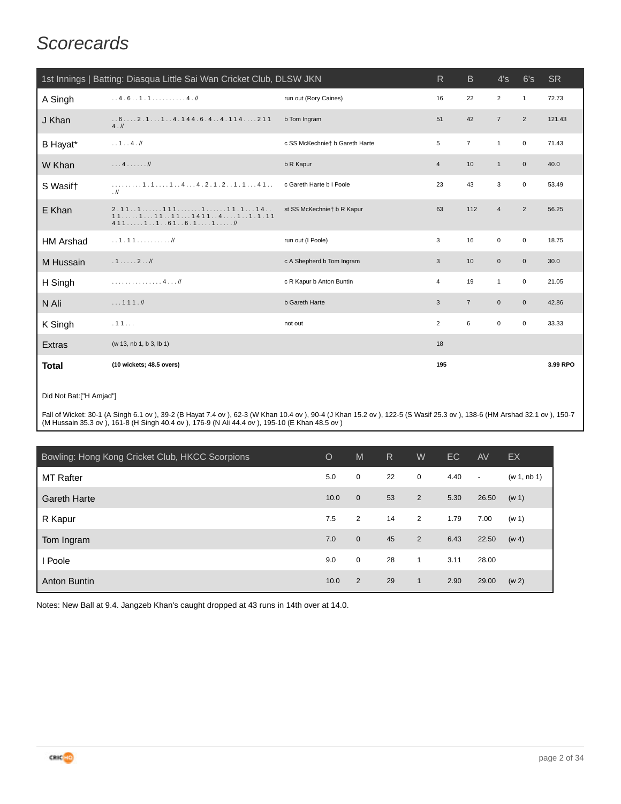# **Scorecards**

| 1st Innings   Batting: Diasqua Little Sai Wan Cricket Club, DLSW JKN<br><sub>B</sub><br><b>SR</b><br>R<br>4's<br>6's |                                                                             |                                |                |                |                     |                |          |  |  |
|----------------------------------------------------------------------------------------------------------------------|-----------------------------------------------------------------------------|--------------------------------|----------------|----------------|---------------------|----------------|----------|--|--|
| A Singh                                                                                                              | 1.4.6.11.1                                                                  | run out (Rory Caines)          | 16             | 22             | $\overline{2}$      | $\mathbf{1}$   | 72.73    |  |  |
| J Khan                                                                                                               | $62.114.144.6.44.114211$<br>4.11                                            | b Tom Ingram                   | 51             | 42             | $\overline{7}$      | $\overline{2}$ | 121.43   |  |  |
| B Hayat*                                                                                                             | 1 4                                                                         | c SS McKechniet b Gareth Harte | 5              | $\overline{7}$ | $\mathbf{1}$        | $\mathbf 0$    | 71.43    |  |  |
| W Khan                                                                                                               | $\ldots 4 \ldots \ldots$                                                    | b R Kapur                      | $\overline{4}$ | 10             | $\mathbf{1}$        | $\mathbf{0}$   | 40.0     |  |  |
| S Wasift                                                                                                             | $\ldots \ldots \ldots 1 \ldots 1 \ldots 1 \ldots 4 \ldots 4 \ldots$<br>. II | c Gareth Harte b I Poole       | 23             | 43             | 3                   | $\mathbf 0$    | 53.49    |  |  |
| E Khan                                                                                                               | $2.111111111111.114$<br>$1111111114114111.111$<br>411111616.111             | st SS McKechnie† b R Kapur     | 63             | 112            | $\overline{4}$      | $\overline{2}$ | 56.25    |  |  |
| <b>HM Arshad</b>                                                                                                     |                                                                             | run out (I Poole)              | 3              | 16             | $\mathbf 0$         | $\mathbf 0$    | 18.75    |  |  |
| M Hussain                                                                                                            | .12                                                                         | c A Shepherd b Tom Ingram      | 3              | 10             | $\mathbf 0$         | $\mathbf 0$    | 30.0     |  |  |
| H Singh                                                                                                              | . 4 //                                                                      | c R Kapur b Anton Buntin       | 4              | 19             | $\mathbf{1}$        | $\mathbf 0$    | 21.05    |  |  |
| N Ali                                                                                                                | 111.1                                                                       | <b>b</b> Gareth Harte          | 3              | $\overline{7}$ | $\mathbf 0$         | $\mathbf 0$    | 42.86    |  |  |
| K Singh                                                                                                              | .11                                                                         | not out                        | $\overline{2}$ | 6              | $\mathsf{O}\xspace$ | $\mathbf 0$    | 33.33    |  |  |
| Extras                                                                                                               | (w 13, nb 1, b 3, lb 1)                                                     |                                | 18             |                |                     |                |          |  |  |
| Total                                                                                                                | (10 wickets; 48.5 overs)                                                    |                                | 195            |                |                     |                | 3.99 RPO |  |  |

#### Did Not Bat:["H Amjad"]

Fall of Wicket: 30-1 (A Singh 6.1 ov ), 39-2 (B Hayat 7.4 ov ), 62-3 (W Khan 10.4 ov ), 90-4 (J Khan 15.2 ov ), 122-5 (S Wasif 25.3 ov ), 138-6 (HM Arshad 32.1 ov ), 150-7 (M Hussain 35.3 ov ), 161-8 (H Singh 40.4 ov ), 176-9 (N Ali 44.4 ov ), 195-10 (E Khan 48.5 ov )

| Bowling: Hong Kong Cricket Club, HKCC Scorpions | $\circ$ | M              | R  | W            | EC   | AV             | EX          |
|-------------------------------------------------|---------|----------------|----|--------------|------|----------------|-------------|
| <b>MT Rafter</b>                                | 5.0     | $\mathbf 0$    | 22 | 0            | 4.40 | $\blacksquare$ | (w 1, nb 1) |
| <b>Gareth Harte</b>                             | 10.0    | $\mathbf{0}$   | 53 | 2            | 5.30 | 26.50          | (w 1)       |
| R Kapur                                         | 7.5     | $\overline{2}$ | 14 | 2            | 1.79 | 7.00           | (w 1)       |
| Tom Ingram                                      | 7.0     | $\overline{0}$ | 45 | 2            | 6.43 | 22.50          | (w 4)       |
| Poole                                           | 9.0     | $\mathbf 0$    | 28 | $\mathbf{1}$ | 3.11 | 28.00          |             |
| Anton Buntin                                    | 10.0    | 2              | 29 | $\mathbf{1}$ | 2.90 | 29.00          | (w 2)       |

Notes: New Ball at 9.4. Jangzeb Khan's caught dropped at 43 runs in 14th over at 14.0.

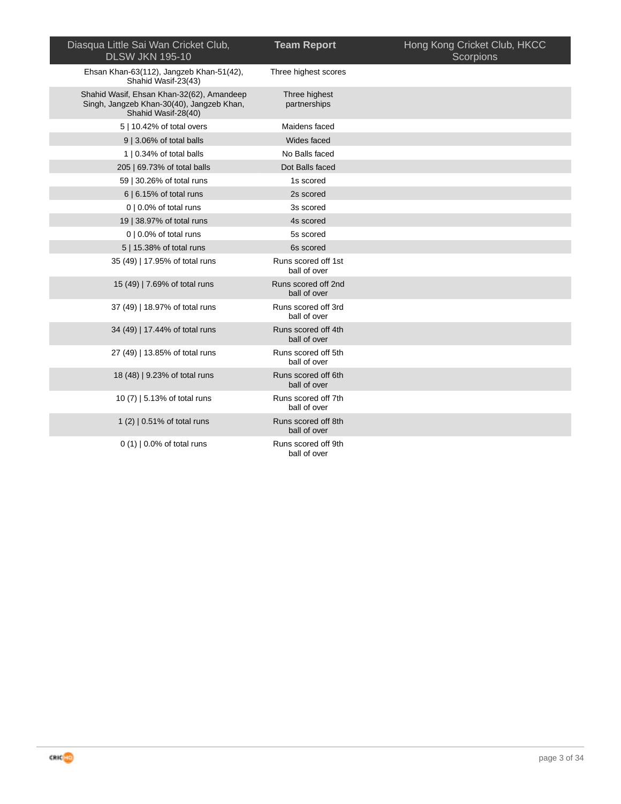| Diasqua Little Sai Wan Cricket Club,<br><b>DLSW JKN 195-10</b>                                                | <b>Team Report</b>                  | Hong Kong Cricket Club, HKCC<br>Scorpions |
|---------------------------------------------------------------------------------------------------------------|-------------------------------------|-------------------------------------------|
| Ehsan Khan-63(112), Jangzeb Khan-51(42),<br>Shahid Wasif-23(43)                                               | Three highest scores                |                                           |
| Shahid Wasif, Ehsan Khan-32(62), Amandeep<br>Singh, Jangzeb Khan-30(40), Jangzeb Khan,<br>Shahid Wasif-28(40) | Three highest<br>partnerships       |                                           |
| 5   10.42% of total overs                                                                                     | Maidens faced                       |                                           |
| 9   3.06% of total balls                                                                                      | Wides faced                         |                                           |
| 1   0.34% of total balls                                                                                      | No Balls faced                      |                                           |
| 205   69.73% of total balls                                                                                   | Dot Balls faced                     |                                           |
| 59   30.26% of total runs                                                                                     | 1s scored                           |                                           |
| 6   6.15% of total runs                                                                                       | 2s scored                           |                                           |
| $0$   0.0% of total runs                                                                                      | 3s scored                           |                                           |
| 19   38.97% of total runs                                                                                     | 4s scored                           |                                           |
| $0   0.0\%$ of total runs                                                                                     | 5s scored                           |                                           |
| 5   15.38% of total runs                                                                                      | 6s scored                           |                                           |
| 35 (49)   17.95% of total runs                                                                                | Runs scored off 1st<br>ball of over |                                           |
| 15 (49)   7.69% of total runs                                                                                 | Runs scored off 2nd<br>ball of over |                                           |
| 37 (49)   18.97% of total runs                                                                                | Runs scored off 3rd<br>ball of over |                                           |
| 34 (49)   17.44% of total runs                                                                                | Runs scored off 4th<br>ball of over |                                           |
| 27 (49)   13.85% of total runs                                                                                | Runs scored off 5th<br>ball of over |                                           |
| 18 (48)   9.23% of total runs                                                                                 | Runs scored off 6th<br>ball of over |                                           |
| 10 (7)   5.13% of total runs                                                                                  | Runs scored off 7th<br>ball of over |                                           |
| 1 (2)   0.51% of total runs                                                                                   | Runs scored off 8th<br>ball of over |                                           |
| $0(1)$   0.0% of total runs                                                                                   | Runs scored off 9th<br>ball of over |                                           |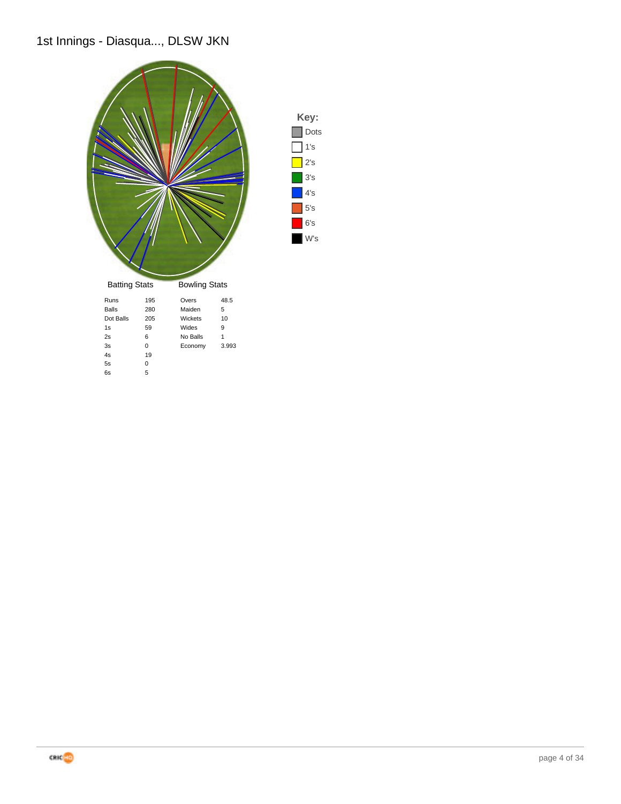## 1st Innings - Diasqua..., DLSW JKN



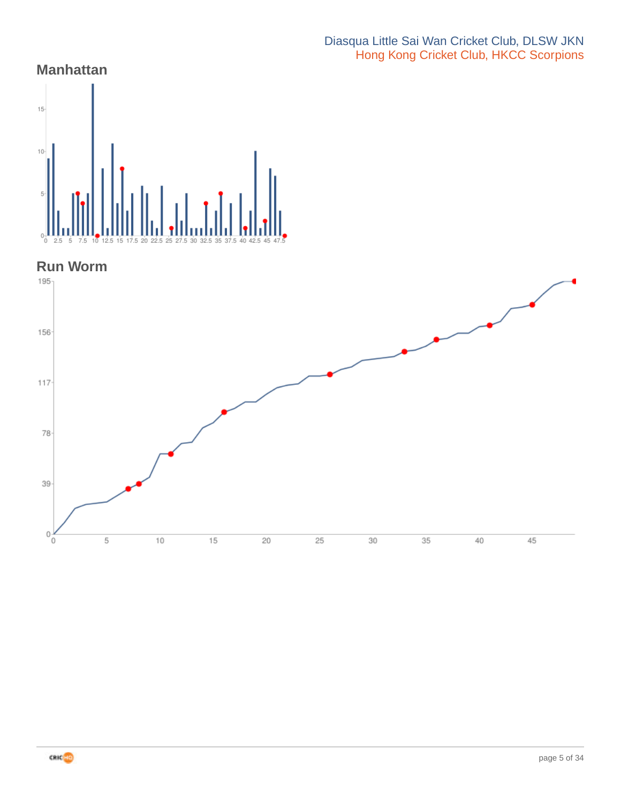#### Diasqua Little Sai Wan Cricket Club, DLSW JKN Hong Kong Cricket Club, HKCC Scorpions

## **Manhattan**



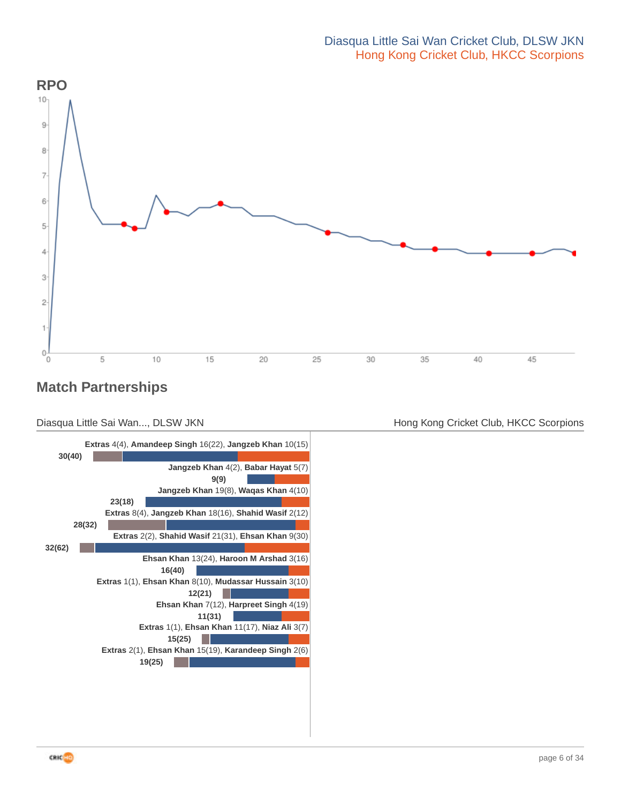

## **Match Partnerships**





Diasqua Little Sai Wan..., DLSW JKN **Hong Kong Cricket Club, HKCC Scorpions** Hong Kong Cricket Club, HKCC Scorpions

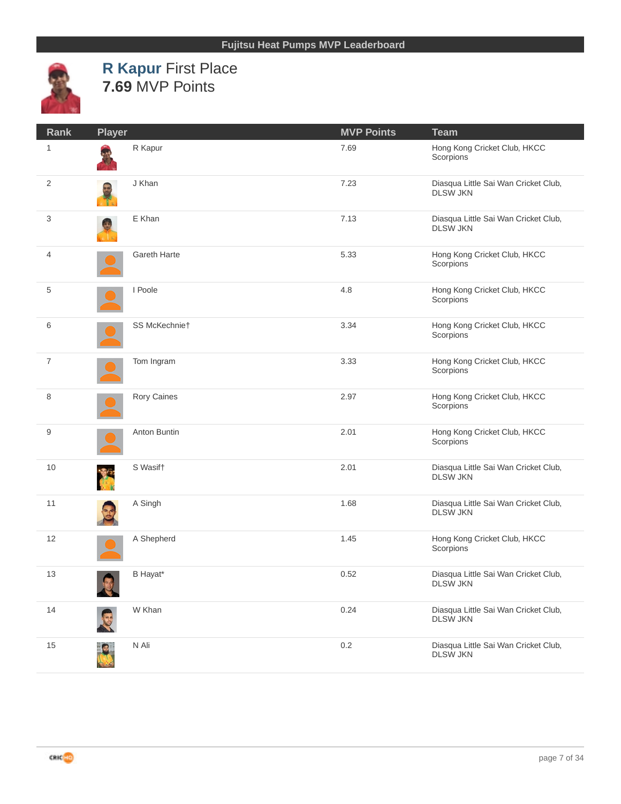

## **R Kapur** First Place **7.69** MVP Points

| Rank           | <b>Player</b> |               | <b>MVP Points</b> | <b>Team</b>                                             |
|----------------|---------------|---------------|-------------------|---------------------------------------------------------|
| $\mathbf{1}$   |               | R Kapur       | 7.69              | Hong Kong Cricket Club, HKCC<br>Scorpions               |
| 2              |               | J Khan        | 7.23              | Diasqua Little Sai Wan Cricket Club,<br><b>DLSW JKN</b> |
| 3              |               | E Khan        | 7.13              | Diasqua Little Sai Wan Cricket Club,<br><b>DLSW JKN</b> |
| 4              |               | Gareth Harte  | 5.33              | Hong Kong Cricket Club, HKCC<br>Scorpions               |
| 5              |               | I Poole       | 4.8               | Hong Kong Cricket Club, HKCC<br>Scorpions               |
| 6              |               | SS McKechnie† | 3.34              | Hong Kong Cricket Club, HKCC<br>Scorpions               |
| $\overline{7}$ |               | Tom Ingram    | 3.33              | Hong Kong Cricket Club, HKCC<br>Scorpions               |
| 8              |               | Rory Caines   | 2.97              | Hong Kong Cricket Club, HKCC<br>Scorpions               |
| 9              |               | Anton Buntin  | 2.01              | Hong Kong Cricket Club, HKCC<br>Scorpions               |
| 10             |               | S Wasift      | 2.01              | Diasqua Little Sai Wan Cricket Club,<br><b>DLSW JKN</b> |
| 11             |               | A Singh       | 1.68              | Diasqua Little Sai Wan Cricket Club,<br><b>DLSW JKN</b> |
| 12             |               | A Shepherd    | 1.45              | Hong Kong Cricket Club, HKCC<br>Scorpions               |
| 13             |               | B Hayat*      | 0.52              | Diasqua Little Sai Wan Cricket Club,<br><b>DLSW JKN</b> |
| 14             |               | W Khan        | 0.24              | Diasqua Little Sai Wan Cricket Club,<br><b>DLSW JKN</b> |
| 15             |               | N Ali         | 0.2               | Diasqua Little Sai Wan Cricket Club,<br><b>DLSW JKN</b> |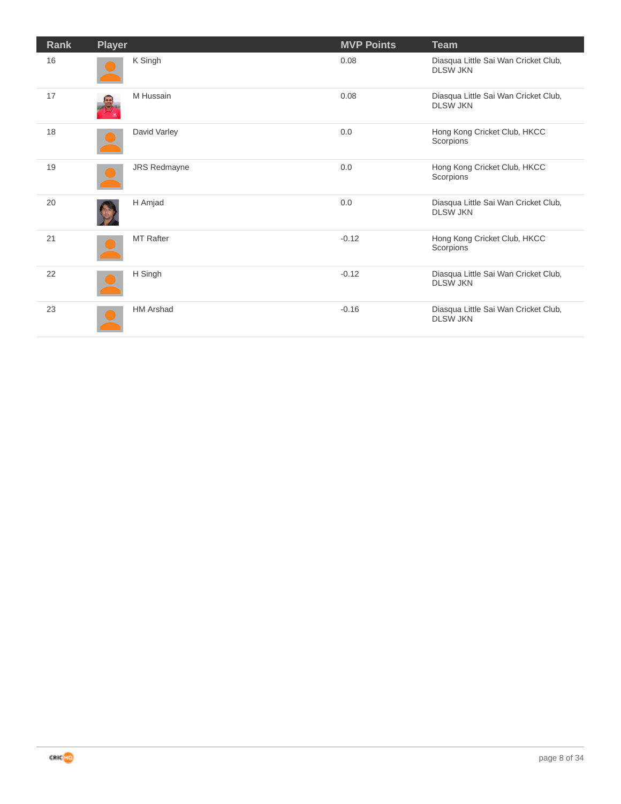| Rank | <b>Player</b>       | <b>MVP Points</b> | <b>Team</b>                                             |
|------|---------------------|-------------------|---------------------------------------------------------|
| 16   | K Singh             | 0.08              | Diasqua Little Sai Wan Cricket Club,<br><b>DLSW JKN</b> |
| 17   | M Hussain           | 0.08              | Diasqua Little Sai Wan Cricket Club,<br><b>DLSW JKN</b> |
| 18   | David Varley        | 0.0               | Hong Kong Cricket Club, HKCC<br>Scorpions               |
| 19   | <b>JRS Redmayne</b> | 0.0               | Hong Kong Cricket Club, HKCC<br>Scorpions               |
| 20   | H Amjad             | 0.0               | Diasqua Little Sai Wan Cricket Club,<br><b>DLSW JKN</b> |
| 21   | <b>MT Rafter</b>    | $-0.12$           | Hong Kong Cricket Club, HKCC<br>Scorpions               |
| 22   | H Singh             | $-0.12$           | Diasqua Little Sai Wan Cricket Club,<br><b>DLSW JKN</b> |
| 23   | <b>HM Arshad</b>    | $-0.16$           | Diasqua Little Sai Wan Cricket Club,<br><b>DLSW JKN</b> |

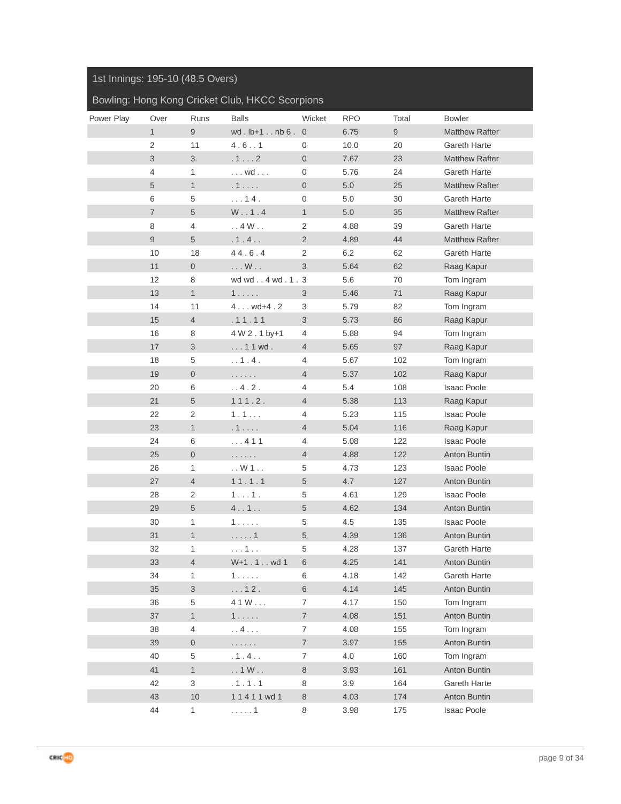#### 1st Innings: 195-10 (48.5 Overs)

#### Bowling: Hong Kong Cricket Club, HKCC Scorpions

| Power Play | Over           | Runs                | <b>Balls</b>          | Wicket           | <b>RPO</b> | Total | <b>Bowler</b>                    |
|------------|----------------|---------------------|-----------------------|------------------|------------|-------|----------------------------------|
|            | 1              | 9                   | wd. $lb+1$ $nb6$ .    | $\overline{0}$   | 6.75       | 9     | <b>Matthew Rafter</b>            |
|            | $\overline{2}$ | 11                  | 4.6.1                 | 0                | 10.0       | 20    | <b>Gareth Harte</b>              |
|            | 3              | 3                   | $.1 \ldots 2$         | $\overline{0}$   | 7.67       | 23    | Matthew Rafter                   |
|            | $\overline{4}$ | 1                   | $\dots$ wd $\dots$    | $\boldsymbol{0}$ | 5.76       | 24    | Gareth Harte                     |
|            | 5              | $\mathbf{1}$        | .1                    | $\overline{0}$   | 5.0        | 25    | <b>Matthew Rafter</b>            |
|            | 6              | 5                   | $\ldots 14$ .         | 0                | 5.0        | 30    | Gareth Harte                     |
|            | $\overline{7}$ | 5                   | W. . 1.4              | $\mathbf{1}$     | 5.0        | 35    | <b>Matthew Rafter</b>            |
|            | 8              | 4                   | .4W.                  | $\overline{2}$   | 4.88       | 39    | <b>Gareth Harte</b>              |
|            | 9              | 5                   | .1.4.                 | $\overline{2}$   | 4.89       | 44    | <b>Matthew Rafter</b>            |
|            | 10             | 18                  | 44.6.4                | 2                | 6.2        | 62    | Gareth Harte                     |
|            | 11             | $\mathsf{O}\xspace$ | $\ldots W$            | 3                | 5.64       | 62    | Raag Kapur                       |
|            | 12             | 8                   | wd wd4 wd.1.3         |                  | 5.6        | 70    | Tom Ingram                       |
|            | 13             | 1                   | 1.000                 | 3                | 5.46       | 71    | Raag Kapur                       |
|            | 14             | 11                  | $4wd+4.2$             | 3                | 5.79       | 82    | Tom Ingram                       |
|            | 15             | $\overline{4}$      | .11.11                | 3                | 5.73       | 86    | Raag Kapur                       |
|            | 16             | 8                   | 4 W 2 . 1 by+1        | 4                | 5.88       | 94    | Tom Ingram                       |
|            | 17             | $\sqrt{3}$          | $11$ wd.              | $\overline{4}$   | 5.65       | 97    | Raag Kapur                       |
|            |                |                     | . . 1.4.              |                  |            |       |                                  |
|            | 18             | 5<br>$\overline{0}$ |                       | 4                | 5.67       | 102   | Tom Ingram                       |
|            | 19             |                     | .                     | $\overline{4}$   | 5.37       | 102   | Raag Kapur<br><b>Isaac Poole</b> |
|            | 20             | 6                   | . . 4 . 2 .           | 4                | 5.4        | 108   |                                  |
|            | 21             | 5                   | 111.2.                | $\overline{4}$   | 5.38       | 113   | Raag Kapur                       |
|            | 22             | $\mathbf{2}$        | 1.1                   | $\overline{4}$   | 5.23       | 115   | Isaac Poole                      |
|            | 23             | $\mathbf{1}$        | .1                    | $\overline{4}$   | 5.04       | 116   | Raag Kapur                       |
|            | 24             | 6                   | 411                   | 4                | 5.08       | 122   | <b>Isaac Poole</b>               |
|            | 25             | $\overline{0}$      | .                     | $\overline{4}$   | 4.88       | 122   | Anton Buntin                     |
|            | 26             | $\mathbf{1}$        | $\ldots$ W 1 $\ldots$ | 5                | 4.73       | 123   | <b>Isaac Poole</b>               |
|            | 27             | $\overline{4}$      | 11.1.1                | 5                | 4.7        | 127   | Anton Buntin                     |
|            | 28             | 2                   | $11$ .                | 5                | 4.61       | 129   | <b>Isaac Poole</b>               |
|            | 29             | $\sqrt{5}$          | 4.1.1.                | $\sqrt{5}$       | 4.62       | 134   | Anton Buntin                     |
|            | 30             | 1                   | 1.                    | 5                | 4.5        | 135   | <b>Isaac Poole</b>               |
|            | 31             | $\mathbf{1}$        | . 1                   | 5                | 4.39       | 136   | Anton Buntin                     |
|            | 32             | 1                   | . 1                   | 5                | 4.28       | 137   | Gareth Harte                     |
|            | 33             | 4                   | W+1.1wd1              | $\,$ 6 $\,$      | 4.25       | $141$ | Anton Buntin                     |
|            | 34             | 1                   | 1.0001                | 6                | 4.18       | 142   | Gareth Harte                     |
|            | 35             | $\mathfrak{S}$      | $\ldots$ 12.          | $\,6\,$          | 4.14       | 145   | Anton Buntin                     |
|            | 36             | 5                   | 41W                   | $\overline{7}$   | 4.17       | 150   | Tom Ingram                       |
|            | 37             | $\mathbf{1}$        | $1 \ldots$            | $\overline{7}$   | 4.08       | 151   | Anton Buntin                     |
|            | 38             | $\overline{4}$      | . . 4                 | $\boldsymbol{7}$ | 4.08       | 155   | Tom Ingram                       |
|            | 39             | $\boldsymbol{0}$    | .                     | $\boldsymbol{7}$ | 3.97       | 155   | Anton Buntin                     |
|            | 40             | 5                   | .1.4.                 | $\overline{7}$   | 4.0        | 160   | Tom Ingram                       |
|            | 41             | $\mathbf{1}$        | $\ldots$ 1 W $\ldots$ | $\,8\,$          | 3.93       | 161   | Anton Buntin                     |
|            | 42             | 3                   | .1.1.1                | 8                | 3.9        | 164   | Gareth Harte                     |
|            | 43             | 10                  | 11411 wd 1            | $\,8\,$          | 4.03       | 174   | Anton Buntin                     |
|            | 44             | $\mathbf{1}$        | . 1                   | 8                | 3.98       | 175   | <b>Isaac Poole</b>               |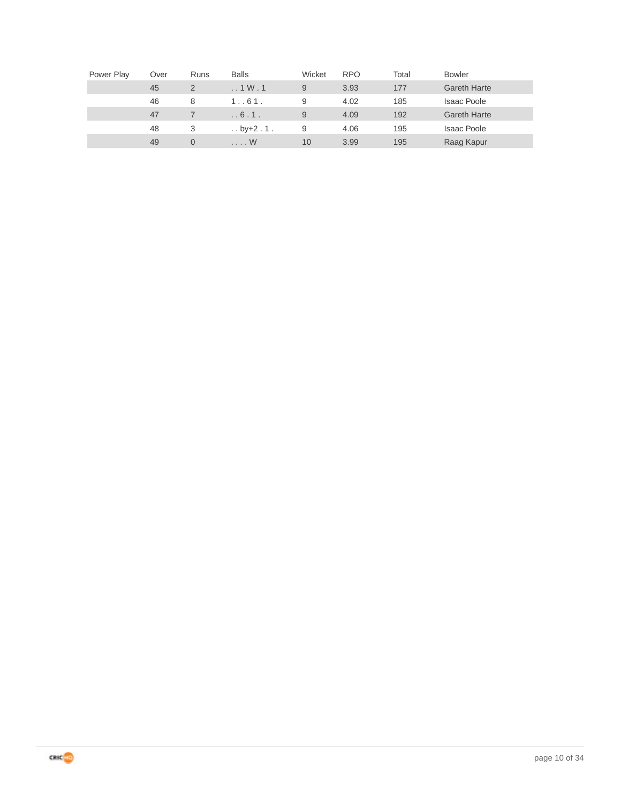| Power Play | Over | Runs           | <b>Balls</b>            | Wicket | <b>RPO</b> | Total | <b>Bowler</b>       |
|------------|------|----------------|-------------------------|--------|------------|-------|---------------------|
|            | 45   | $\overline{2}$ | $\ldots$ 1 W $\ldots$ 1 | 9      | 3.93       | 177   | <b>Gareth Harte</b> |
|            | 46   | 8              | 1.061.                  | 9      | 4.02       | 185   | <b>Isaac Poole</b>  |
|            | 47   |                | .6.1.                   | 9      | 4.09       | 192   | <b>Gareth Harte</b> |
|            | 48   | 3              | $\ldots$ by +2 . 1.     | 9      | 4.06       | 195   | <b>Isaac Poole</b>  |
|            | 49   |                | $\ldots$ W              | 10     | 3.99       | 195   | Raag Kapur          |

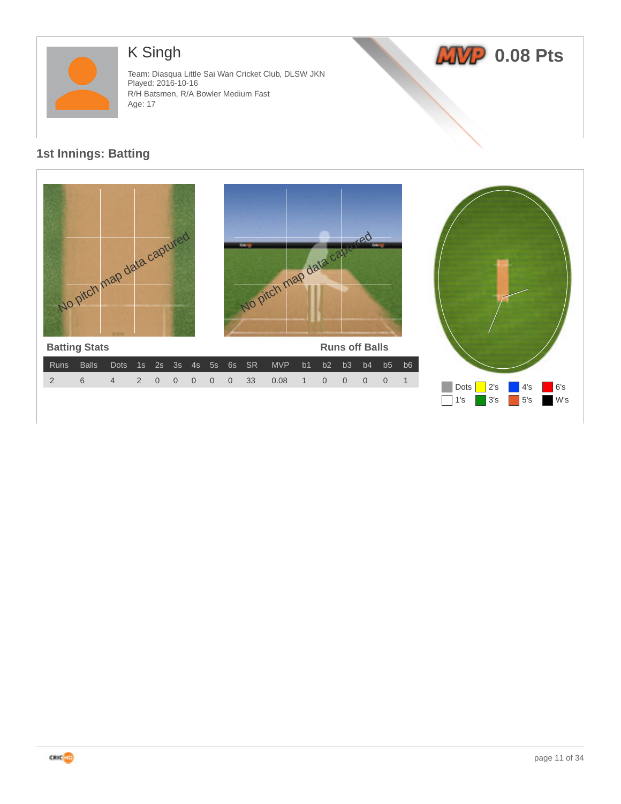

# K Singh

Team: Diasqua Little Sai Wan Cricket Club, DLSW JKN Played: 2016-10-16 R/H Batsmen, R/A Bowler Medium Fast Age: 17





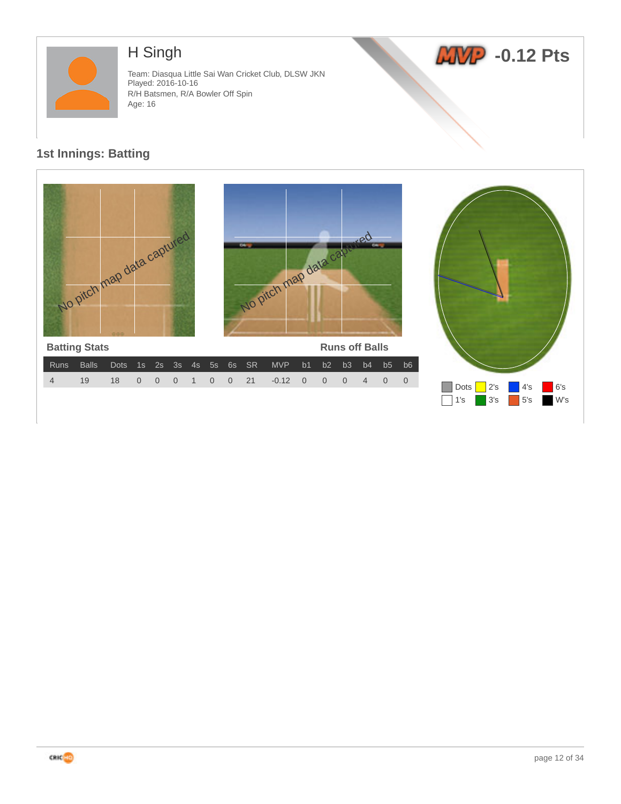

# H Singh

Team: Diasqua Little Sai Wan Cricket Club, DLSW JKN Played: 2016-10-16 R/H Batsmen, R/A Bowler Off Spin Age: 16



1's 3's 5's W's



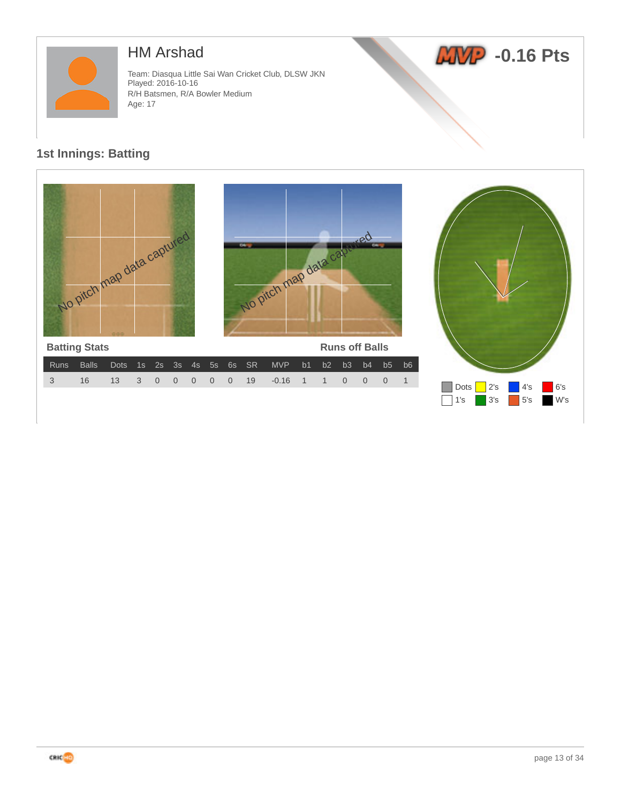

## HM Arshad

Team: Diasqua Little Sai Wan Cricket Club, DLSW JKN Played: 2016-10-16 R/H Batsmen, R/A Bowler Medium Age: 17





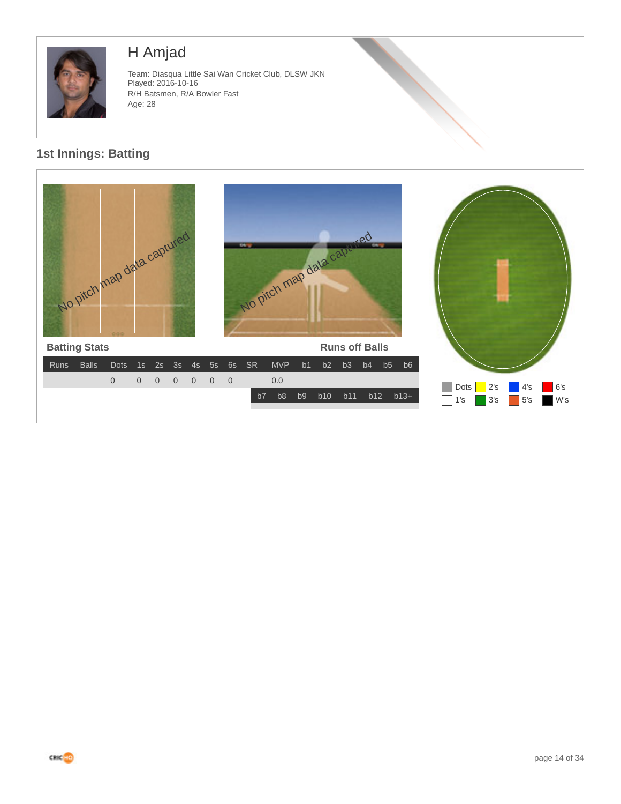

# H Amjad

Team: Diasqua Little Sai Wan Cricket Club, DLSW JKN Played: 2016-10-16 R/H Batsmen, R/A Bowler Fast Age: 28



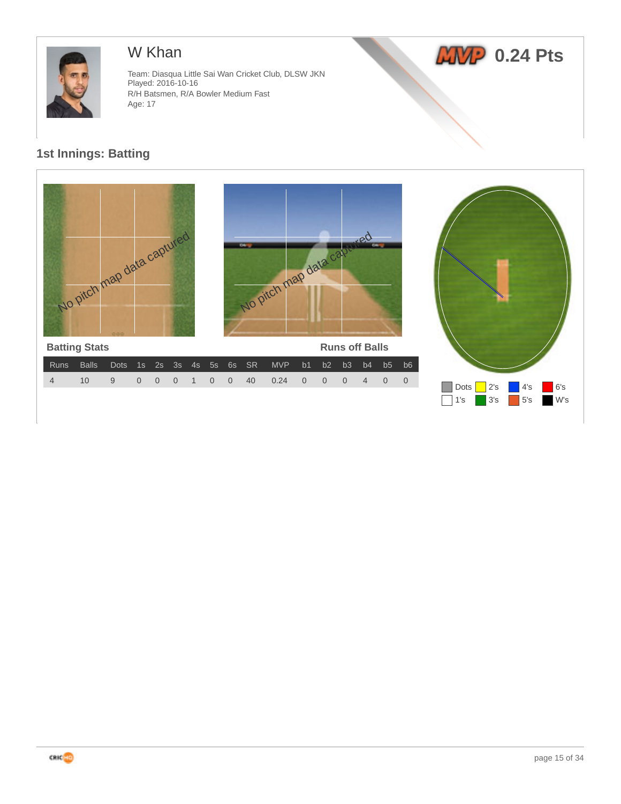

## W Khan

Team: Diasqua Little Sai Wan Cricket Club, DLSW JKN Played: 2016-10-16 R/H Batsmen, R/A Bowler Medium Fast Age: 17





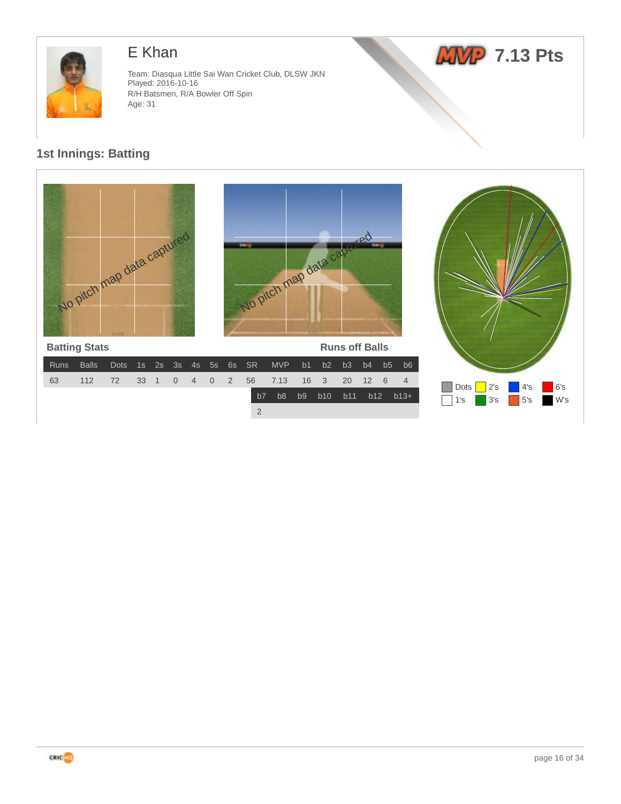

## E Khan

Team: Diasqua Little Sai Wan Cricket Club, DLSW JKN Played: 2016-10-16 R/H Batsmen, R/A Bowler Off Spin Age: 31

# *ANP* 7.13 Pts

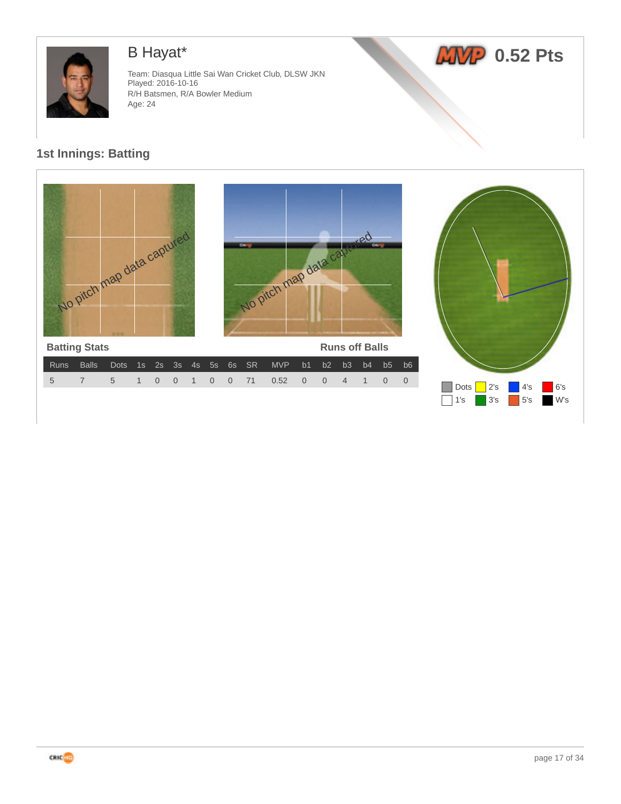

# B Hayat\*

Team: Diasqua Little Sai Wan Cricket Club, DLSW JKN Played: 2016-10-16 R/H Batsmen, R/A Bowler Medium Age: 24



1's 3's 5's W's



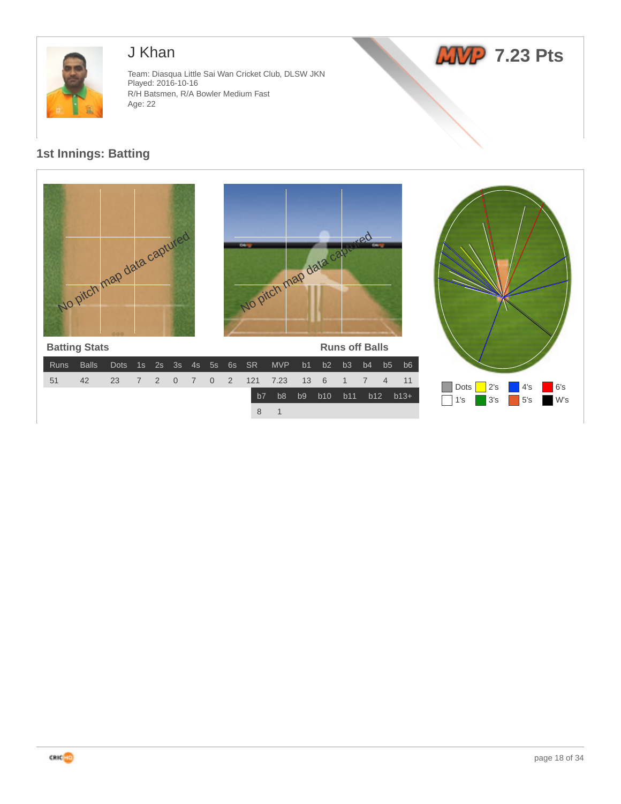

## J Khan

Team: Diasqua Little Sai Wan Cricket Club, DLSW JKN Played: 2016-10-16 R/H Batsmen, R/A Bowler Medium Fast Age: 22





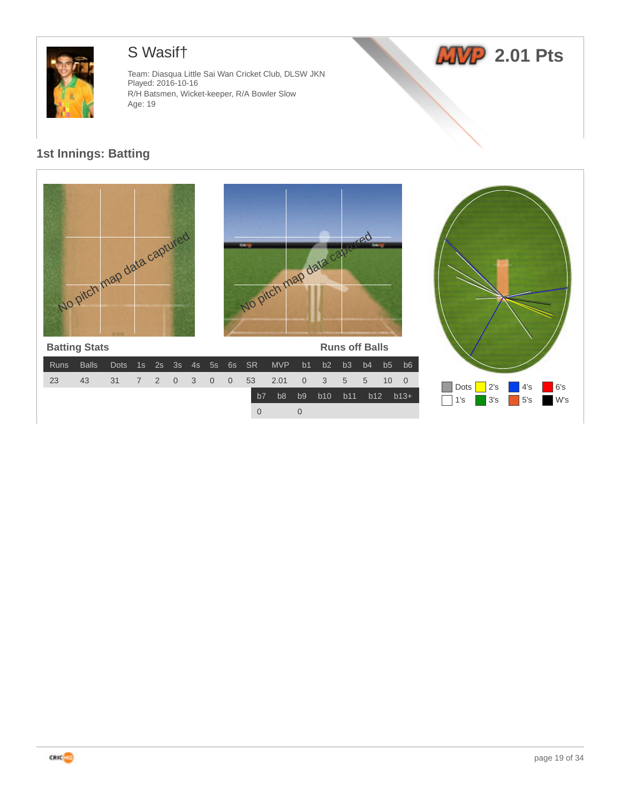

# S Wasif†

Team: Diasqua Little Sai Wan Cricket Club, DLSW JKN Played: 2016-10-16 R/H Batsmen, Wicket-keeper, R/A Bowler Slow Age: 19





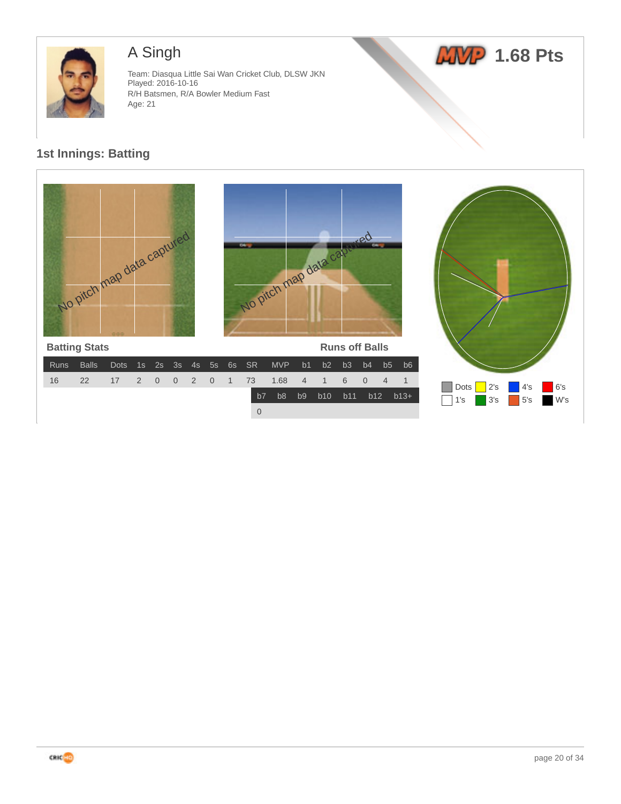

# A Singh

Team: Diasqua Little Sai Wan Cricket Club, DLSW JKN Played: 2016-10-16 R/H Batsmen, R/A Bowler Medium Fast Age: 21





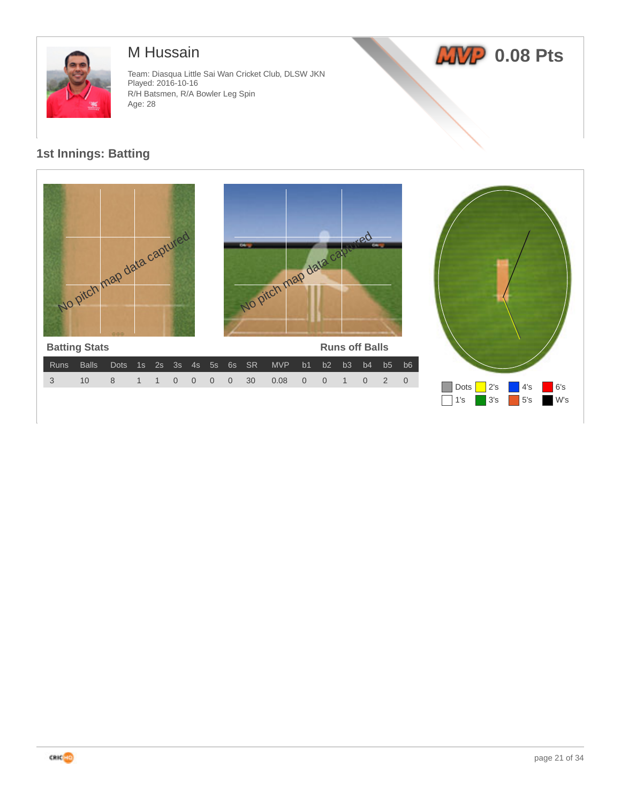

## M Hussain

Team: Diasqua Little Sai Wan Cricket Club, DLSW JKN Played: 2016-10-16 R/H Batsmen, R/A Bowler Leg Spin Age: 28



1's 3's 5's W's



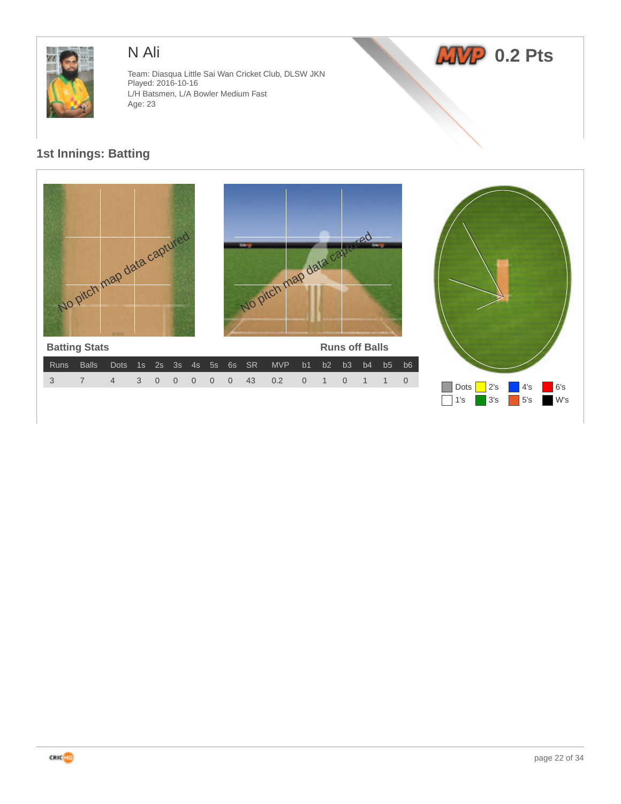

## N Ali

Team: Diasqua Little Sai Wan Cricket Club, DLSW JKN Played: 2016-10-16 L/H Batsmen, L/A Bowler Medium Fast Age: 23





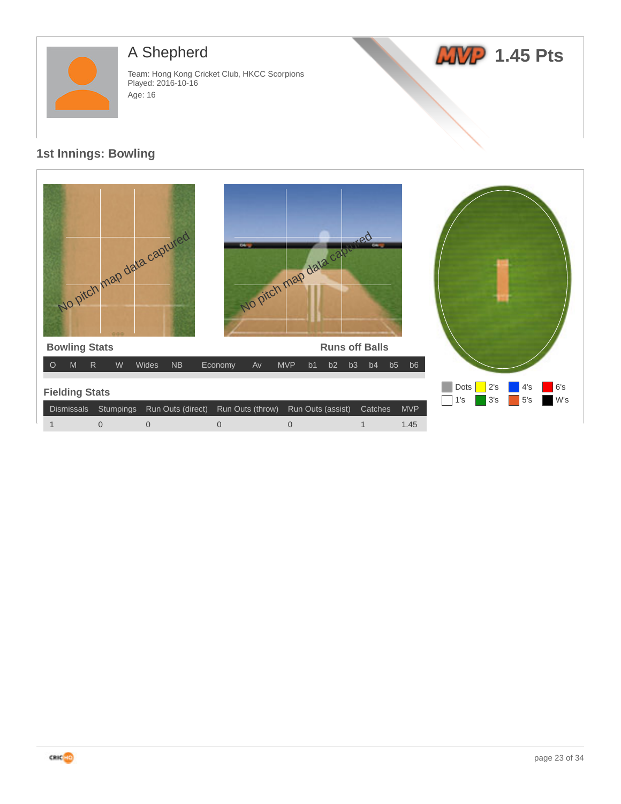

# A Shepherd

Team: Hong Kong Cricket Club, HKCC Scorpions Played: 2016-10-16 Age: 16

# *LWP* 1.45 Pts

| No pitch map data captured                                            | $\overline{\mathbf{a}}$ | No pitch map data cab              | Leo                   |            |                                                       |
|-----------------------------------------------------------------------|-------------------------|------------------------------------|-----------------------|------------|-------------------------------------------------------|
| <b>Bowling Stats</b>                                                  |                         |                                    | <b>Runs off Balls</b> |            |                                                       |
| M<br>${\sf R}$<br>${\sf W}$<br>NB<br>$\circ$<br>Wides                 | Economy<br>Av           | <b>MVP</b><br>b2<br>b <sub>1</sub> | b3<br>b5<br>b4        | b6         |                                                       |
| <b>Fielding Stats</b><br>Run Outs (direct)<br>Dismissals<br>Stumpings | Run Outs (throw)        | Run Outs (assist)                  | Catches               | <b>MVP</b> | 6's<br>Dots<br>2's<br>4's<br>W's<br>3's<br>5's<br>1's |
| $\mathbf 0$<br>0<br>1                                                 | $\overline{0}$          | $\overline{0}$                     | 1                     | 1.45       |                                                       |

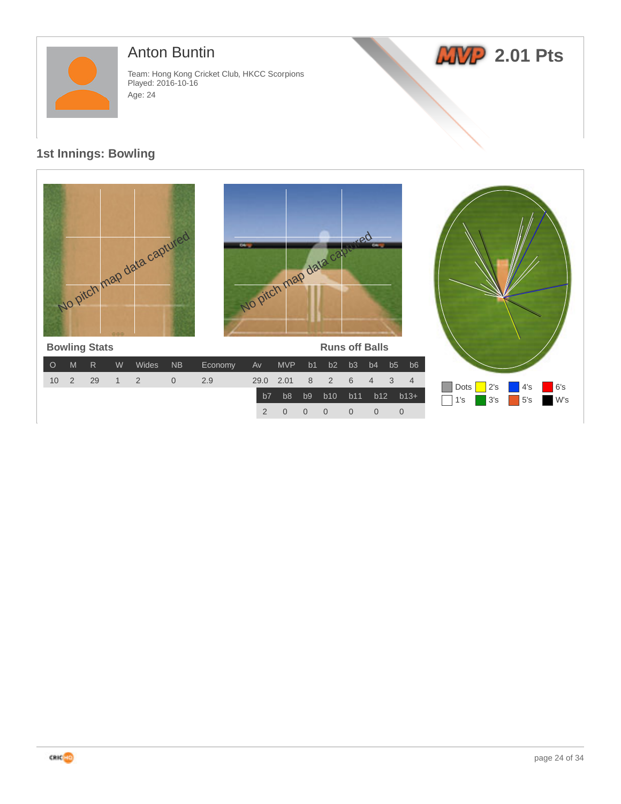

## Anton Buntin

Team: Hong Kong Cricket Club, HKCC Scorpions Played: 2016-10-16 Age: 24

# **2.01 Pts**

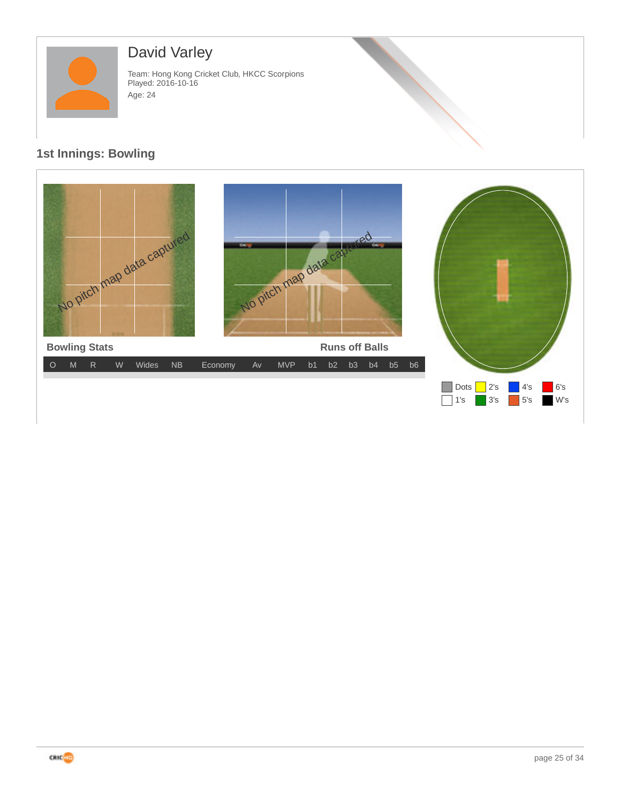

# David Varley

Team: Hong Kong Cricket Club, HKCC Scorpions Played: 2016-10-16 Age: 24



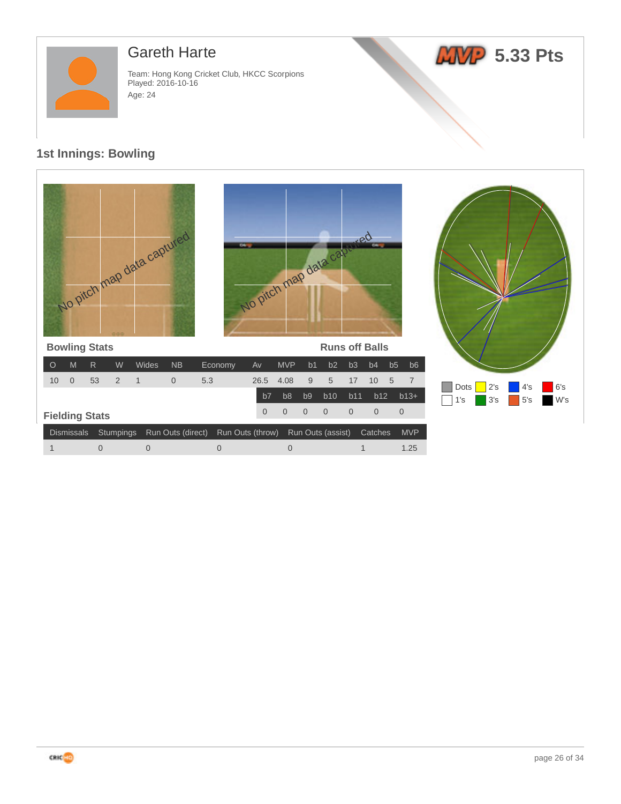

## Gareth Harte

Team: Hong Kong Cricket Club, HKCC Scorpions Played: 2016-10-16 Age: 24





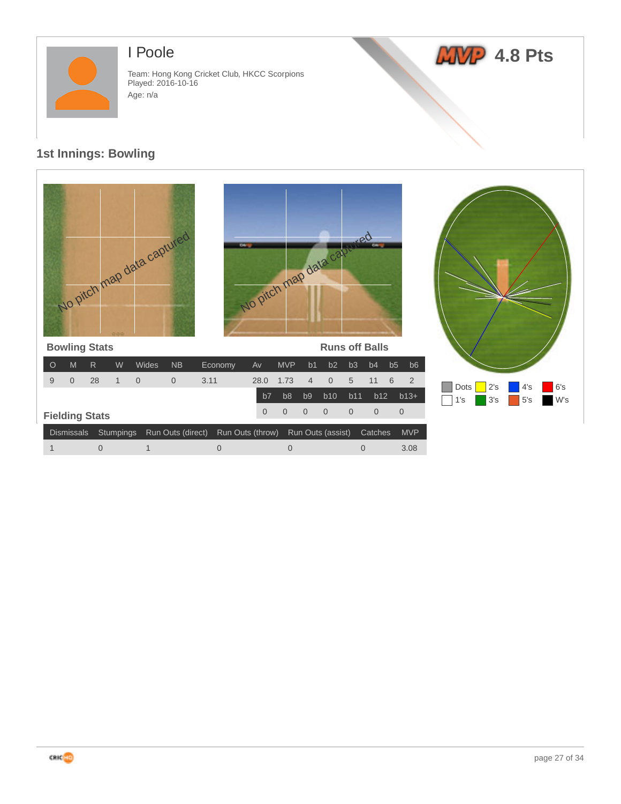

## I Poole

Team: Hong Kong Cricket Club, HKCC Scorpions Played: 2016-10-16 Age: n/a



| No pitch map data captured<br><b>Bowling Stats</b> |              |              |                |                   |                | No Pitch map data cap. |                |                |                   | <b>TULICO</b><br><b>Runs off Balls</b> | co.            |                                   |                        |            |            |            |
|----------------------------------------------------|--------------|--------------|----------------|-------------------|----------------|------------------------|----------------|----------------|-------------------|----------------------------------------|----------------|-----------------------------------|------------------------|------------|------------|------------|
| M<br>$\circ$                                       | $\mathsf{R}$ | W            | Wides          | <b>NB</b>         | Economy        | Av                     | <b>MVP</b>     | b1             | b2                | b <sub>3</sub>                         | b4             | b5<br>b <sub>6</sub>              |                        |            |            |            |
| 9<br>$\overline{0}$                                | 28           | $\mathbf{1}$ | $\overline{0}$ | $\overline{0}$    | 3.11           | 28.0                   | 1.73           | $\overline{4}$ | $\boldsymbol{0}$  | 5                                      | 11             | $6\phantom{1}6$<br>$\overline{2}$ |                        |            |            |            |
|                                                    |              |              |                |                   |                | b7                     | b <sub>8</sub> | b <sub>9</sub> | b10               | b11                                    | b12            | $b13+$                            | <b>Dots</b><br>1<br>'s | 2's<br>3's | 4's<br>5's | 6's<br>W's |
| <b>Fielding Stats</b>                              |              |              |                |                   |                | $\overline{0}$         | $\overline{0}$ | $\overline{0}$ | $\overline{0}$    | $\overline{0}$                         | $\overline{0}$ | $\overline{0}$                    |                        |            |            |            |
| <b>Dismissals</b>                                  | Stumpings    |              |                | Run Outs (direct) |                | Run Outs (throw)       |                |                | Run Outs (assist) |                                        | Catches        | <b>MVP</b>                        |                        |            |            |            |
| $\mathbf{1}$                                       | $\mathbf 0$  |              | $\mathbf{1}$   |                   | $\overline{0}$ |                        | $\overline{0}$ |                |                   | $\overline{0}$                         |                | 3.08                              |                        |            |            |            |

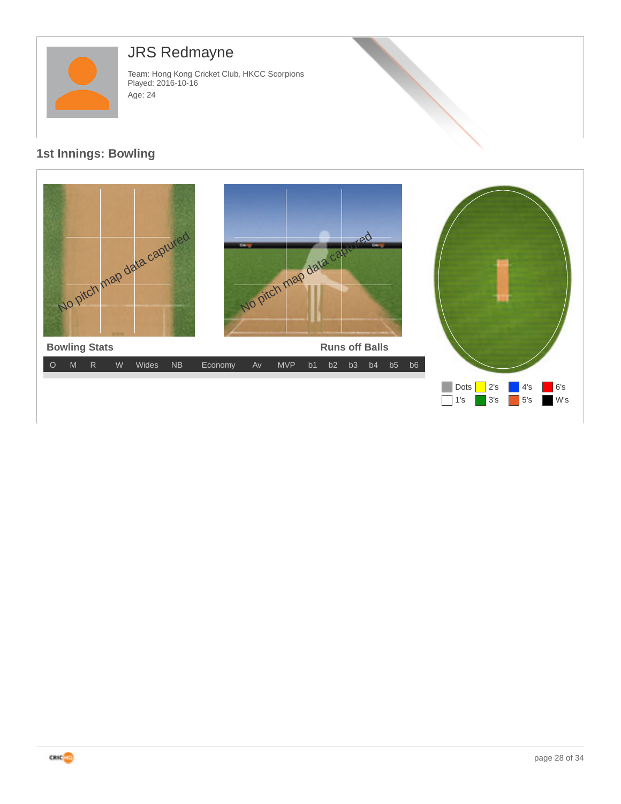

# JRS Redmayne

Team: Hong Kong Cricket Club, HKCC Scorpions Played: 2016-10-16 Age: 24



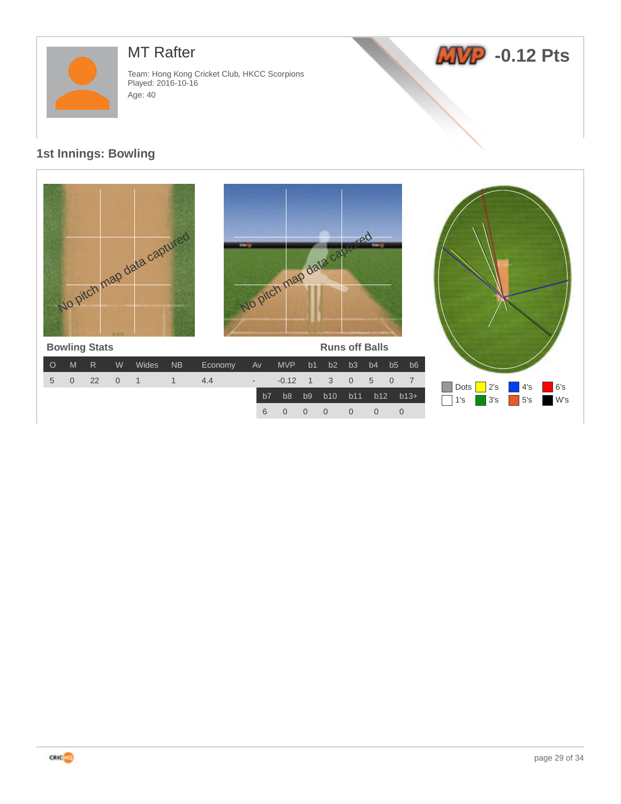

## MT Rafter

Team: Hong Kong Cricket Club, HKCC Scorpions Played: 2016-10-16 Age: 40

# **ANP** -0.12 Pts

#### **1st Innings: Bowling**



6 0 0 0 0 0 0

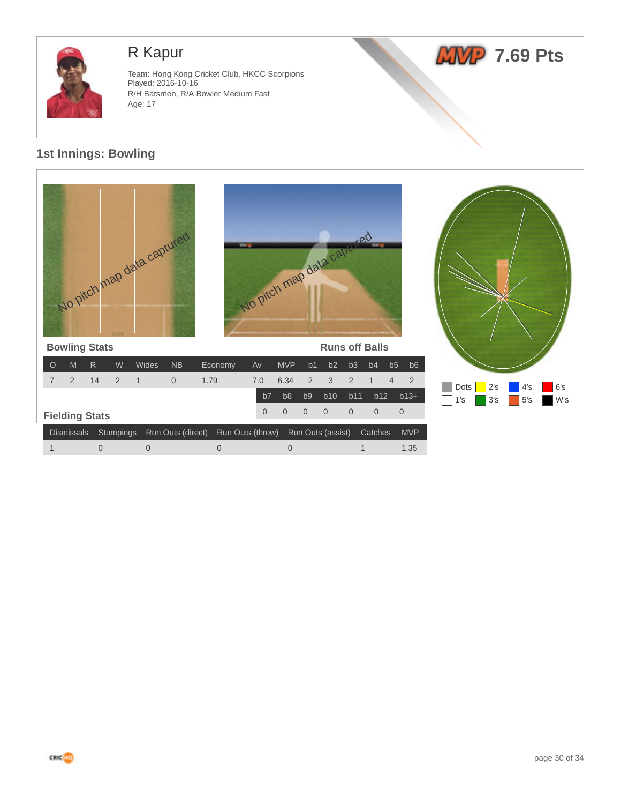

# R Kapur

Team: Hong Kong Cricket Club, HKCC Scorpions Played: 2016-10-16 R/H Batsmen, R/A Bowler Medium Fast Age: 17





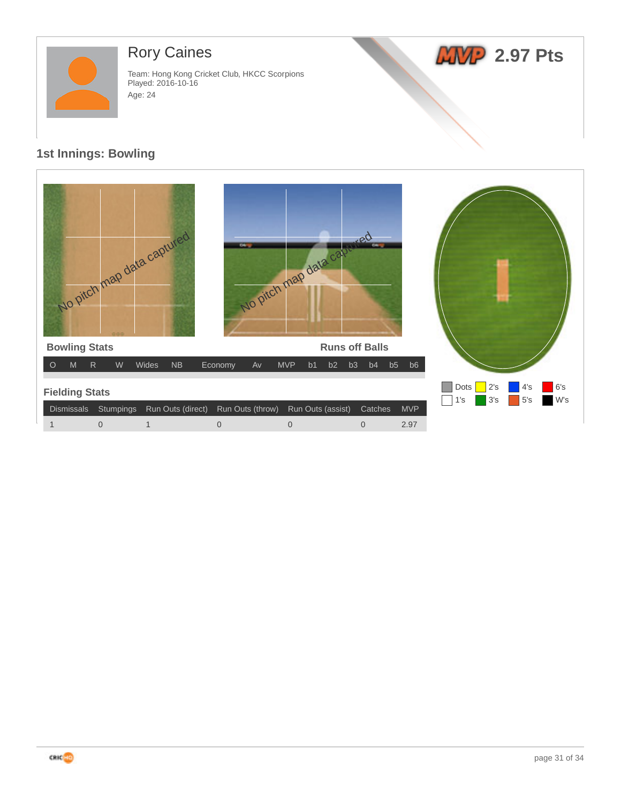

# Rory Caines

Team: Hong Kong Cricket Club, HKCC Scorpions Played: 2016-10-16 Age: 24



| No pitch map data captured                                                   |                  | No pitch map data cavared          |                            |            |                                                       |
|------------------------------------------------------------------------------|------------------|------------------------------------|----------------------------|------------|-------------------------------------------------------|
| <b>Bowling Stats</b>                                                         |                  |                                    | <b>Runs off Balls</b>      |            |                                                       |
| $\mathsf{R}$<br>W<br>Wides<br><b>NB</b><br>M<br>$\circ$                      | Economy<br>Av    | <b>MVP</b><br>b2<br>b <sub>1</sub> | b3<br>b5<br>b <sub>4</sub> | b6         |                                                       |
| <b>Fielding Stats</b><br><b>Dismissals</b><br>Stumpings<br>Run Outs (direct) | Run Outs (throw) | Run Outs (assist)                  | Catches                    | <b>MVP</b> | 6's<br>Dots<br>2's<br>4's<br>W's<br>3's<br>5's<br>1's |
| $\overline{0}$<br>1                                                          | $\overline{0}$   | $\overline{0}$                     | $\overline{0}$             | 2.97       |                                                       |

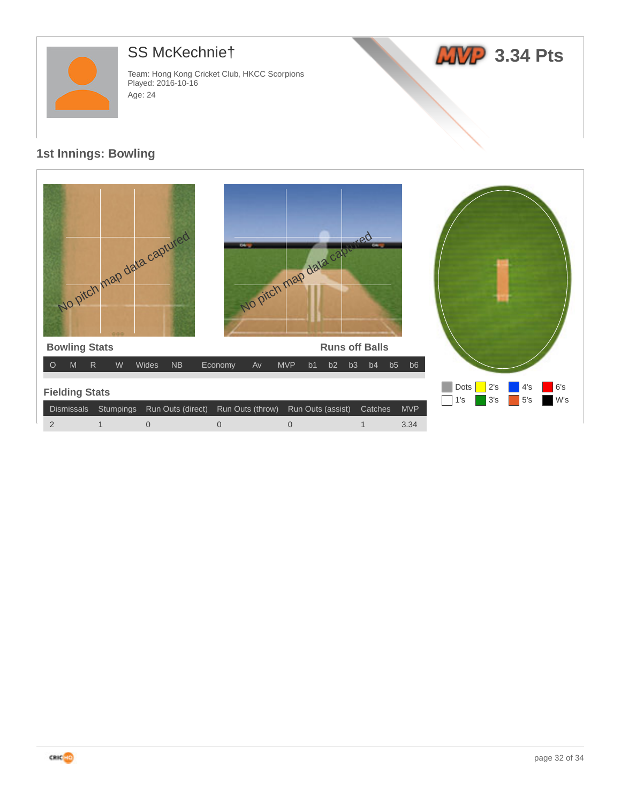

# SS McKechnie†

Team: Hong Kong Cricket Club, HKCC Scorpions Played: 2016-10-16 Age: 24



| No pitch map data captured                                                   | 04.              | No pitch map data cape       | <b>Redesignt</b><br>$\overline{a}$ |            |                                                       |
|------------------------------------------------------------------------------|------------------|------------------------------|------------------------------------|------------|-------------------------------------------------------|
| <b>Bowling Stats</b>                                                         |                  |                              | <b>Runs off Balls</b>              |            |                                                       |
| $\mathsf{R}$<br>W<br>Wides<br><b>NB</b><br>$\circ$<br>M                      | Economy<br>Av    | <b>MVP</b><br>b <sub>1</sub> | b2<br>b3<br>b4                     | b5<br>b6   |                                                       |
| <b>Fielding Stats</b><br>Run Outs (direct)<br><b>Dismissals</b><br>Stumpings | Run Outs (throw) | Run Outs (assist)            | Catches                            | <b>MVP</b> | 6's<br>Dots<br>4's<br>2's<br>W's<br>3's<br>5's<br>1's |
| $\overline{2}$<br>$\mathbf 0$<br>1                                           | $\overline{0}$   | $\overline{0}$               |                                    | 3.34       |                                                       |

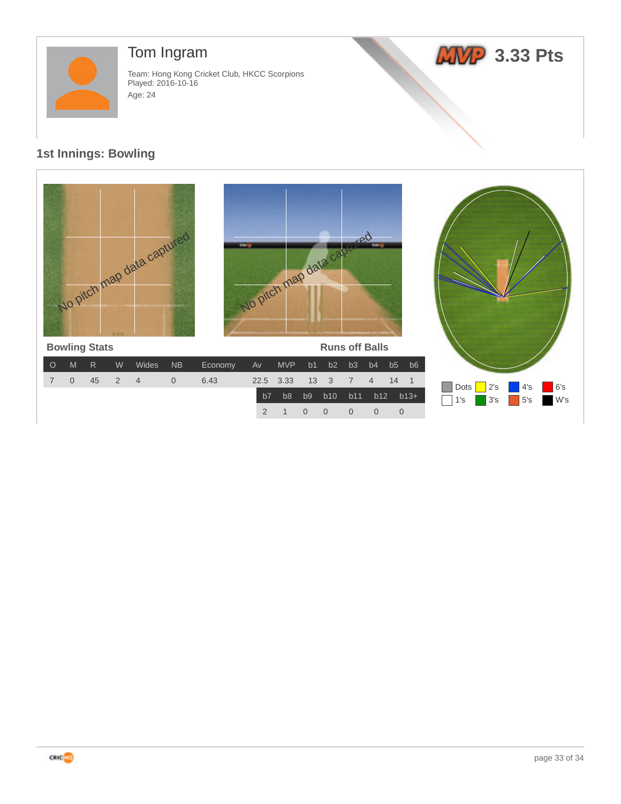

# Tom Ingram

Team: Hong Kong Cricket Club, HKCC Scorpions Played: 2016-10-16 Age: 24

# **AMP** 3.33 Pts

#### **1st Innings: Bowling**



2 1 0 0 0 0 0